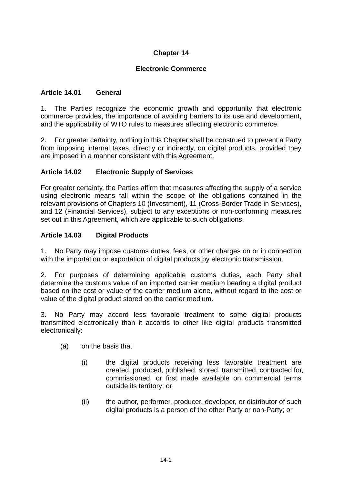# **Chapter 14**

## **Electronic Commerce**

### **Article 14.01 General**

1. The Parties recognize the economic growth and opportunity that electronic commerce provides, the importance of avoiding barriers to its use and development, and the applicability of WTO rules to measures affecting electronic commerce.

2. For greater certainty, nothing in this Chapter shall be construed to prevent a Party from imposing internal taxes, directly or indirectly, on digital products, provided they are imposed in a manner consistent with this Agreement.

#### **Article 14.02 Electronic Supply of Services**

For greater certainty, the Parties affirm that measures affecting the supply of a service using electronic means fall within the scope of the obligations contained in the relevant provisions of Chapters 10 (Investment), 11 (Cross-Border Trade in Services), and 12 (Financial Services), subject to any exceptions or non-conforming measures set out in this Agreement, which are applicable to such obligations.

### **Article 14.03 Digital Products**

1. No Party may impose customs duties, fees, or other charges on or in connection with the importation or exportation of digital products by electronic transmission.

2. For purposes of determining applicable customs duties, each Party shall determine the customs value of an imported carrier medium bearing a digital product based on the cost or value of the carrier medium alone, without regard to the cost or value of the digital product stored on the carrier medium.

3. No Party may accord less favorable treatment to some digital products transmitted electronically than it accords to other like digital products transmitted electronically:

- (a) on the basis that
	- (i) the digital products receiving less favorable treatment are created, produced, published, stored, transmitted, contracted for, commissioned, or first made available on commercial terms outside its territory; or
	- (ii) the author, performer, producer, developer, or distributor of such digital products is a person of the other Party or non-Party; or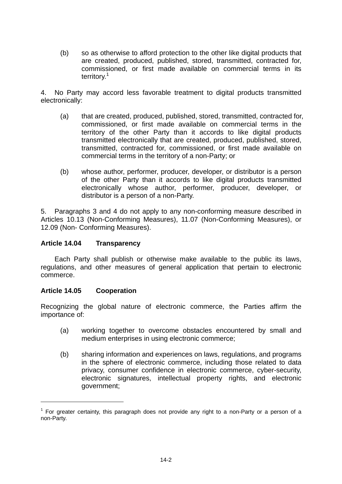(b) so as otherwise to afford protection to the other like digital products that are created, produced, published, stored, transmitted, contracted for, commissioned, or first made available on commercial terms in its territory.<sup>1</sup>

4. No Party may accord less favorable treatment to digital products transmitted electronically:

- (a) that are created, produced, published, stored, transmitted, contracted for, commissioned, or first made available on commercial terms in the territory of the other Party than it accords to like digital products transmitted electronically that are created, produced, published, stored, transmitted, contracted for, commissioned, or first made available on commercial terms in the territory of a non-Party; or
- (b) whose author, performer, producer, developer, or distributor is a person of the other Party than it accords to like digital products transmitted electronically whose author, performer, producer, developer, or distributor is a person of a non-Party.

5. Paragraphs 3 and 4 do not apply to any non-conforming measure described in Articles 10.13 (Non-Conforming Measures), 11.07 (Non-Conforming Measures), or 12.09 (Non- Conforming Measures).

#### **Article 14.04 Transparency**

Each Party shall publish or otherwise make available to the public its laws, regulations, and other measures of general application that pertain to electronic commerce.

#### **Article 14.05 Cooperation**

 $\overline{a}$ 

Recognizing the global nature of electronic commerce, the Parties affirm the importance of:

- (a) working together to overcome obstacles encountered by small and medium enterprises in using electronic commerce;
- (b) sharing information and experiences on laws, regulations, and programs in the sphere of electronic commerce, including those related to data privacy, consumer confidence in electronic commerce, cyber-security, electronic signatures, intellectual property rights, and electronic government;

 $1$  For greater certainty, this paragraph does not provide any right to a non-Party or a person of a non-Party.